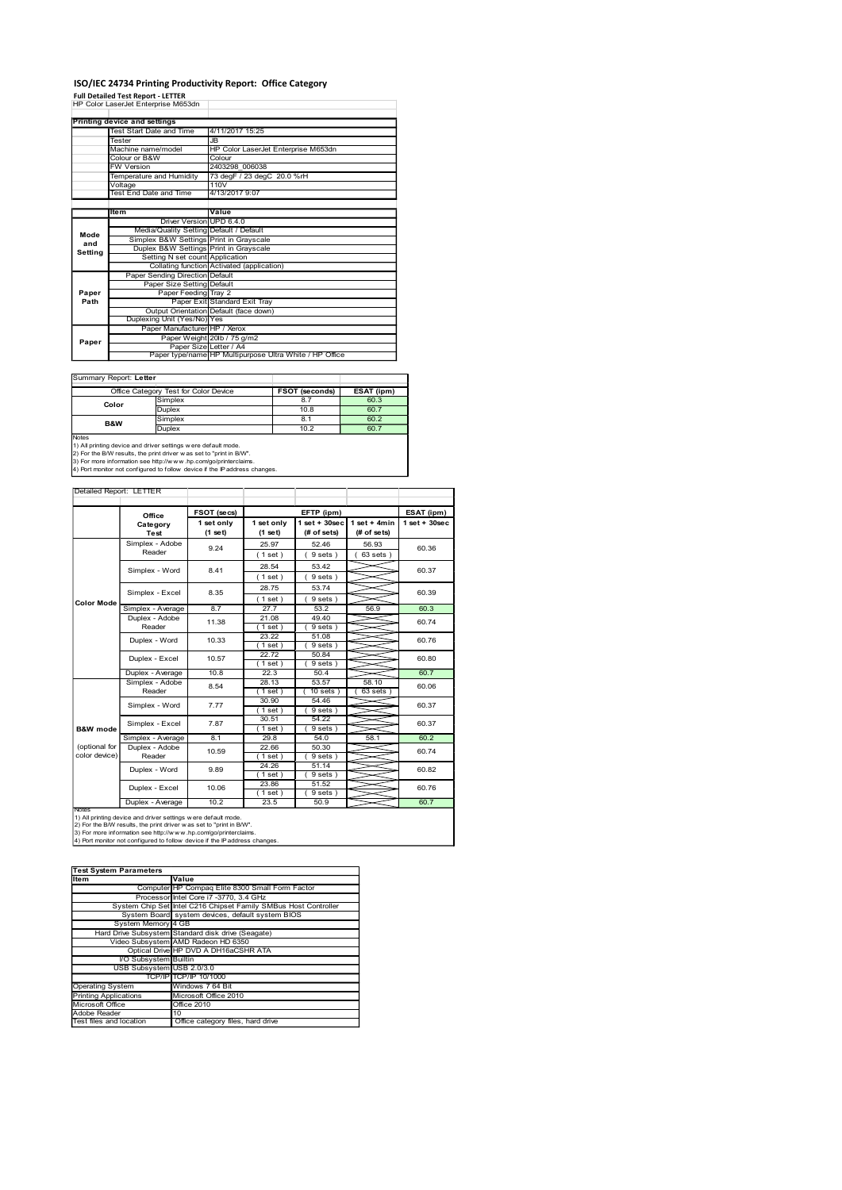### ISO/IEC 24734 Printing Productivity Report: Office Category

|                | ISO/IEC 24734 Printing Productivity Report: Office Category<br><b>Full Detailed Test Report - LETTER</b>                                                                                                  |                                   |                                                                                                                         |                                              |                           |                                                         |                                 |                  |
|----------------|-----------------------------------------------------------------------------------------------------------------------------------------------------------------------------------------------------------|-----------------------------------|-------------------------------------------------------------------------------------------------------------------------|----------------------------------------------|---------------------------|---------------------------------------------------------|---------------------------------|------------------|
|                | HP Color LaserJet Enterprise M653dn                                                                                                                                                                       |                                   |                                                                                                                         |                                              |                           |                                                         |                                 |                  |
|                | <b>Printing device and settings</b><br>Test Start Date and Time<br>Tester                                                                                                                                 |                                   | JB                                                                                                                      | 4/11/2017 15:25                              |                           |                                                         |                                 |                  |
|                | Machine name/model<br>Colour or B&W<br><b>FW Version</b>                                                                                                                                                  |                                   | Colour                                                                                                                  | 2403298 006038                               |                           | HP Color LaserJet Enterprise M653dn                     |                                 |                  |
|                | Temperature and Humidity<br>Voltage<br><b>Test End Date and Time</b>                                                                                                                                      |                                   | 110V                                                                                                                    | 73 degF / 23 degC 20.0 %rH<br>4/13/2017 9:07 |                           |                                                         |                                 |                  |
|                | ltem                                                                                                                                                                                                      |                                   | Value                                                                                                                   |                                              |                           |                                                         |                                 |                  |
| Mode           |                                                                                                                                                                                                           |                                   | Driver Version UPD 6.4.0<br>Media/Quality Setting Default / Default<br>Simplex B&W Settings Print in Grayscale          |                                              |                           |                                                         |                                 |                  |
| and<br>Setting |                                                                                                                                                                                                           |                                   | Duplex B&W Settings Print in Grayscale<br>Setting N set count Application<br>Collating function Activated (application) |                                              |                           |                                                         |                                 |                  |
|                |                                                                                                                                                                                                           |                                   | Paper Sending Direction Default<br>Paper Size Setting Default                                                           |                                              |                           |                                                         |                                 |                  |
| Paper<br>Path  | Paper Feeding Tray 2<br>Paper Exit Standard Exit Tray<br>Output Orientation Default (face down)                                                                                                           |                                   |                                                                                                                         |                                              |                           |                                                         |                                 |                  |
|                |                                                                                                                                                                                                           |                                   | Duplexing Unit (Yes/No) Yes<br>Paper Manufacturer HP / Xerox<br>Paper Weight 20lb / 75 g/m2                             |                                              |                           |                                                         |                                 |                  |
| Paper          |                                                                                                                                                                                                           |                                   | Paper Size Letter / A4                                                                                                  |                                              |                           | Paper type/name HP Multipurpose Ultra White / HP Office |                                 |                  |
|                | Summary Report: Letter                                                                                                                                                                                    |                                   |                                                                                                                         |                                              |                           |                                                         |                                 |                  |
|                | Office Category Test for Color Device<br>Simplex<br>Color<br>Duplex                                                                                                                                       |                                   |                                                                                                                         |                                              |                           | <b>FSOT (seconds)</b><br>8.7<br>10.8                    | ESAT (ipm)<br>60.3<br>60.7      |                  |
| Notes          | B&W                                                                                                                                                                                                       | Simplex<br>Duplex                 |                                                                                                                         |                                              |                           | 8.1<br>10.2                                             | 60.2<br>60.7                    |                  |
|                | 1) All printing device and driver settings w ere default mode.<br>2) For the B/W results, the print driver w as set to "print in B/W".<br>3) For more information see http://www.hp.com/go/printerclaims. |                                   |                                                                                                                         |                                              |                           |                                                         |                                 |                  |
|                | 4) Port monitor not configured to follow device if the IP address changes.                                                                                                                                |                                   |                                                                                                                         |                                              |                           |                                                         |                                 |                  |
|                | Detailed Report: LETTER                                                                                                                                                                                   | Office                            | FSOT (secs)                                                                                                             |                                              |                           | EFTP (ipm)                                              |                                 | ESAT (ipm)       |
|                |                                                                                                                                                                                                           | Category                          | 1 set only                                                                                                              |                                              | 1 set only                |                                                         | $1 set + 30 sec$   1 set + 4min | $1 set + 30 sec$ |
|                | Test                                                                                                                                                                                                      |                                   | $(1$ set)                                                                                                               |                                              | $(1$ set)                 | (# of sets)                                             | (# of sets)                     |                  |
|                |                                                                                                                                                                                                           | Simplex - Adobe<br>Reader         | 9.24                                                                                                                    |                                              | 25.97<br>(1 set)          | 52.46<br>9 sets)                                        | 56.93<br>63 sets)               | 60.36            |
|                |                                                                                                                                                                                                           | Simplex - Word<br>Simplex - Excel | 8.41<br>8.35                                                                                                            |                                              | 28.54<br>(1 set)<br>28.75 | 53.42<br>9 sets)<br>53.74                               |                                 | 60.37<br>60.39   |

| <b>Pourmally INSPORT LEART</b> |                                       |                |            |
|--------------------------------|---------------------------------------|----------------|------------|
|                                | Office Category Test for Color Device | FSOT (seconds) | ESAT (ipm) |
| Color                          | Simplex                               | 8.7            | 60.3       |
|                                | <b>Duplex</b>                         | 10.8           | 60.7       |
| <b>B&amp;W</b>                 | Simplex                               | 8.1            | 60.2       |
|                                | Duplex                                | 10.2           | 60.7       |
| <b>Notes</b>                   |                                       |                |            |

|                                           |       | Temperature and Humidity        |                |                                                                                                                                               | 73 degF / 23 degC 20.0 %rH |                                 |                                 |                  |
|-------------------------------------------|-------|---------------------------------|----------------|-----------------------------------------------------------------------------------------------------------------------------------------------|----------------------------|---------------------------------|---------------------------------|------------------|
|                                           |       | Voltage                         |                | 110V                                                                                                                                          |                            |                                 |                                 |                  |
|                                           |       | Test End Date and Time          |                | 4/13/2017 9:07                                                                                                                                |                            |                                 |                                 |                  |
|                                           |       |                                 |                |                                                                                                                                               |                            |                                 |                                 |                  |
|                                           | ltem  |                                 | Driver Version | Value<br><b>UPD 6.4.0</b>                                                                                                                     |                            |                                 |                                 |                  |
|                                           |       | Media/Quality Setting           |                | Default / Default                                                                                                                             |                            |                                 |                                 |                  |
| Mode<br>and                               |       |                                 |                | Simplex B&W Settings Print in Grayscale                                                                                                       |                            |                                 |                                 |                  |
| Setting                                   |       |                                 |                | Duplex B&W Settings Print in Grayscale                                                                                                        |                            |                                 |                                 |                  |
|                                           |       |                                 |                | Setting N set count Application<br>Collating function Activated (application)                                                                 |                            |                                 |                                 |                  |
|                                           |       | Paper Sending Direction Default |                |                                                                                                                                               |                            |                                 |                                 |                  |
|                                           |       |                                 |                | Paper Size Setting Default                                                                                                                    |                            |                                 |                                 |                  |
| Paper                                     |       |                                 |                | Paper Feeding Tray 2                                                                                                                          |                            |                                 |                                 |                  |
| Path                                      |       |                                 | Paper Exit     | Standard Exit Tray                                                                                                                            |                            |                                 |                                 |                  |
|                                           |       |                                 |                | Output Orientation Default (face down)                                                                                                        |                            |                                 |                                 |                  |
|                                           |       | Duplexing Unit (Yes/No) Yes     |                |                                                                                                                                               |                            |                                 |                                 |                  |
|                                           |       |                                 |                | Paper Manufacturer HP / Xerox                                                                                                                 |                            |                                 |                                 |                  |
| Paper                                     |       |                                 |                | Paper Weight 20lb / 75 g/m2<br>Paper Size Letter / A4                                                                                         |                            |                                 |                                 |                  |
|                                           |       |                                 |                | Paper type/name HP Multipurpose Ultra White / HP Office                                                                                       |                            |                                 |                                 |                  |
|                                           |       |                                 |                |                                                                                                                                               |                            |                                 |                                 |                  |
| Summary Report: Letter                    |       |                                 |                |                                                                                                                                               |                            |                                 |                                 |                  |
|                                           |       |                                 |                | Office Category Test for Color Device                                                                                                         |                            | FSOT (seconds)                  | ESAT (ipm)                      |                  |
|                                           |       |                                 | Simplex        |                                                                                                                                               |                            | 8.7                             | 60.3                            |                  |
|                                           | Color |                                 | Duplex         |                                                                                                                                               |                            | 10.8                            | 60.7                            |                  |
|                                           |       |                                 | Simplex        |                                                                                                                                               |                            | 8.1                             | 60.2                            |                  |
|                                           | B&W   |                                 | <b>Duplex</b>  |                                                                                                                                               |                            | 10.2                            | 60.7                            |                  |
| Notes                                     |       |                                 |                |                                                                                                                                               |                            |                                 |                                 |                  |
|                                           |       |                                 |                | 1) All printing device and driver settings were default mode.<br>2) For the B/W results, the print driver w as set to "print in B/W".         |                            |                                 |                                 |                  |
|                                           |       |                                 |                | 3) For more information see http://www.hp.com/go/printerclaims.                                                                               |                            |                                 |                                 |                  |
|                                           |       |                                 |                | 4) Port monitor not configured to follow device if the IP address changes.                                                                    |                            |                                 |                                 |                  |
|                                           |       |                                 |                |                                                                                                                                               |                            |                                 |                                 |                  |
| Detailed Report: LETTER                   |       |                                 |                |                                                                                                                                               |                            |                                 |                                 |                  |
|                                           |       |                                 |                |                                                                                                                                               |                            |                                 |                                 |                  |
|                                           |       | Office                          |                | FSOT (secs)                                                                                                                                   |                            | EFTP (ipm)                      |                                 | ESAT (ipm)       |
|                                           |       | Category<br>Test                |                | 1 set only<br>(1 set)                                                                                                                         | 1 set only<br>(1 set)      | $1 set + 30 sec$<br>(# of sets) | $1 set + 4 min$<br>$#$ of sets) | $1 set + 30 sec$ |
|                                           |       |                                 |                |                                                                                                                                               |                            |                                 |                                 |                  |
|                                           |       | Simplex - Adobe<br>Reader       |                | 9.24                                                                                                                                          | 25.97                      | 52.46                           | 56.93                           | 60.36            |
|                                           |       |                                 |                |                                                                                                                                               | (1 set)                    | 9 sets                          | 63 sets                         |                  |
|                                           |       | Simplex - Word                  |                | 8.41                                                                                                                                          | 28.54                      | 53.42                           |                                 | 60.37            |
|                                           |       |                                 |                |                                                                                                                                               | (1 set)                    | 9 sets                          |                                 |                  |
|                                           |       | Simplex - Excel                 |                | 8.35                                                                                                                                          | 28.75                      | 53.74                           |                                 | 60.39            |
| Color Mode                                |       |                                 |                |                                                                                                                                               | (1 set)                    | 9 sets)                         |                                 |                  |
|                                           |       | Simplex - Average               |                | 8.7                                                                                                                                           | 27.7                       | 53.2                            | 56.9                            | 60.3             |
|                                           |       | Duplex - Adobe                  |                | 11.38                                                                                                                                         | 21.08                      | 49.40                           |                                 | 60.74            |
|                                           |       | Reader                          |                |                                                                                                                                               | (1 set)                    | 9 sets                          |                                 |                  |
|                                           |       | Duplex - Word                   |                | 10.33                                                                                                                                         | 23.22                      | 51.08                           |                                 | 60.76            |
|                                           |       |                                 |                |                                                                                                                                               | (1 set)<br>22.72           | 9 sets)<br>50.84                |                                 |                  |
|                                           |       | Duplex - Excel                  |                | 10.57                                                                                                                                         | (1 set)                    | (9 sets)                        |                                 | 60.80            |
|                                           |       | Duplex - Average                |                | 10.8                                                                                                                                          | 22.3                       | 50.4                            |                                 | 60.7             |
|                                           |       | Simplex - Adobe                 |                |                                                                                                                                               | 28.13                      | 53.57                           | 58.10                           |                  |
|                                           |       | Reader                          |                | 8.54                                                                                                                                          | (1 set)                    | $10$ sets $)$                   | 63 sets                         | 60.06            |
|                                           |       | Simplex - Word                  |                | 7.77                                                                                                                                          | 30.90                      | 54.46                           |                                 | 60.37            |
|                                           |       |                                 |                |                                                                                                                                               | (1 set)                    | (9 sets)                        |                                 |                  |
|                                           |       | Simplex - Excel                 |                | 7.87                                                                                                                                          | 30.51                      | 54.22                           |                                 | 60.37            |
| <b>B&amp;W</b> mode                       |       |                                 |                |                                                                                                                                               | $(1$ set                   | (9 sets)                        |                                 |                  |
|                                           |       | Simplex - Average               |                | 8.1                                                                                                                                           | 29.8                       | 54.0                            | 58.1                            | 60.2             |
| (optional for                             |       | Duplex - Adobe                  |                | 10.59                                                                                                                                         | 22.66                      | 50.30                           |                                 | 60.74            |
| color device)                             |       | Reader                          |                |                                                                                                                                               | (1 set)<br>24.26           | 9 sets)<br>51.14                |                                 |                  |
|                                           |       | Duplex - Word                   |                | 9.89                                                                                                                                          | (1 set)                    | (9 sets)                        |                                 | 60.82            |
|                                           |       |                                 |                |                                                                                                                                               | 23.86                      | 51.52                           |                                 |                  |
|                                           |       | Duplex - Excel                  |                | 10.06                                                                                                                                         | (1 set)                    | 9 sets                          |                                 | 60.76            |
|                                           |       | Duplex - Average                |                | 10.2                                                                                                                                          | 23.5                       | 50.9                            |                                 | 60.7             |
| <b>Note</b>                               |       |                                 |                | 1) All printing device and driver settings were default mode.                                                                                 |                            |                                 |                                 |                  |
|                                           |       |                                 |                | 2) For the B/W results, the print driver was set to "print in B/W".                                                                           |                            |                                 |                                 |                  |
|                                           |       |                                 |                | 3) For more information see http://www.hp.com/go/printerclaims.<br>4) Port monitor not configured to follow device if the IP address changes. |                            |                                 |                                 |                  |
|                                           |       |                                 |                |                                                                                                                                               |                            |                                 |                                 |                  |
|                                           |       |                                 |                |                                                                                                                                               |                            |                                 |                                 |                  |
|                                           |       | <b>Test System Parameters</b>   |                |                                                                                                                                               |                            |                                 |                                 |                  |
| Item                                      |       |                                 | Value          |                                                                                                                                               |                            |                                 |                                 |                  |
|                                           |       |                                 |                | Computer HP Compaq Elite 8300 Small Form Factor                                                                                               |                            |                                 |                                 |                  |
|                                           |       |                                 |                | Processor Intel Core i7 -3770, 3.4 GHz                                                                                                        |                            |                                 |                                 |                  |
|                                           |       |                                 |                | System Chip Set Intel C216 Chipset Family SMBus Host Controller                                                                               |                            |                                 |                                 |                  |
|                                           |       |                                 |                | System Board system devices, default system BIOS                                                                                              |                            |                                 |                                 |                  |
|                                           |       | System Memory 4 GB              |                | Hard Drive Subsystem Standard disk drive (Seagate)                                                                                            |                            |                                 |                                 |                  |
|                                           |       |                                 |                | Video Subsystem AMD Radeon HD 6350                                                                                                            |                            |                                 |                                 |                  |
|                                           |       |                                 |                | Optical Drive HP DVD A DH16aCSHR ATA                                                                                                          |                            |                                 |                                 |                  |
|                                           |       | I/O Subsystem Builtin           |                |                                                                                                                                               |                            |                                 |                                 |                  |
|                                           |       | USB Subsystem USB 2.0/3.0       |                |                                                                                                                                               |                            |                                 |                                 |                  |
|                                           |       |                                 |                | TCP/IP TCP/IP 10/1000                                                                                                                         |                            |                                 |                                 |                  |
| Operating System                          |       |                                 |                | Windows 7 64 Bit                                                                                                                              |                            |                                 |                                 |                  |
| Printing Applications<br>Microsoft Office |       |                                 |                | Microsoft Office 2010<br>Office 2010                                                                                                          |                            |                                 |                                 |                  |
| Adobe Reader                              |       |                                 | 10             |                                                                                                                                               |                            |                                 |                                 |                  |
| Test files and location                   |       |                                 |                | Office category files, hard drive                                                                                                             |                            |                                 |                                 |                  |
|                                           |       |                                 |                |                                                                                                                                               |                            |                                 |                                 |                  |
|                                           |       |                                 |                |                                                                                                                                               |                            |                                 |                                 |                  |
|                                           |       |                                 |                |                                                                                                                                               |                            |                                 |                                 |                  |
|                                           |       |                                 |                |                                                                                                                                               |                            |                                 |                                 |                  |
|                                           |       |                                 |                |                                                                                                                                               |                            |                                 |                                 |                  |
|                                           |       |                                 |                |                                                                                                                                               |                            |                                 |                                 |                  |
|                                           |       |                                 |                |                                                                                                                                               |                            |                                 |                                 |                  |
|                                           |       |                                 |                |                                                                                                                                               |                            |                                 |                                 |                  |
|                                           |       |                                 |                |                                                                                                                                               |                            |                                 |                                 |                  |

## Test System Parameters

|                              | Computer HP Compaq Elite 8300 Small Form Factor                 |
|------------------------------|-----------------------------------------------------------------|
|                              | Processor Intel Core i7 -3770, 3.4 GHz                          |
|                              | System Chip Set Intel C216 Chipset Family SMBus Host Controller |
|                              | System Board system devices, default system BIOS                |
| System Memory 4 GB           |                                                                 |
|                              | Hard Drive Subsystem Standard disk drive (Seagate)              |
|                              | Video Subsystem AMD Radeon HD 6350                              |
|                              | Optical Drive HP DVD A DH16aCSHR ATA                            |
| I/O Subsystem Builtin        |                                                                 |
| USB Subsystem USB 2.0/3.0    |                                                                 |
|                              | TCP/IPITCP/IP 10/1000                                           |
| <b>Operating System</b>      | Windows 7 64 Bit                                                |
| <b>Printing Applications</b> | Microsoft Office 2010                                           |
| Microsoft Office             | Office 2010                                                     |
| Adobe Reader                 | 10                                                              |
| Test files and location      | Office category files hard drive                                |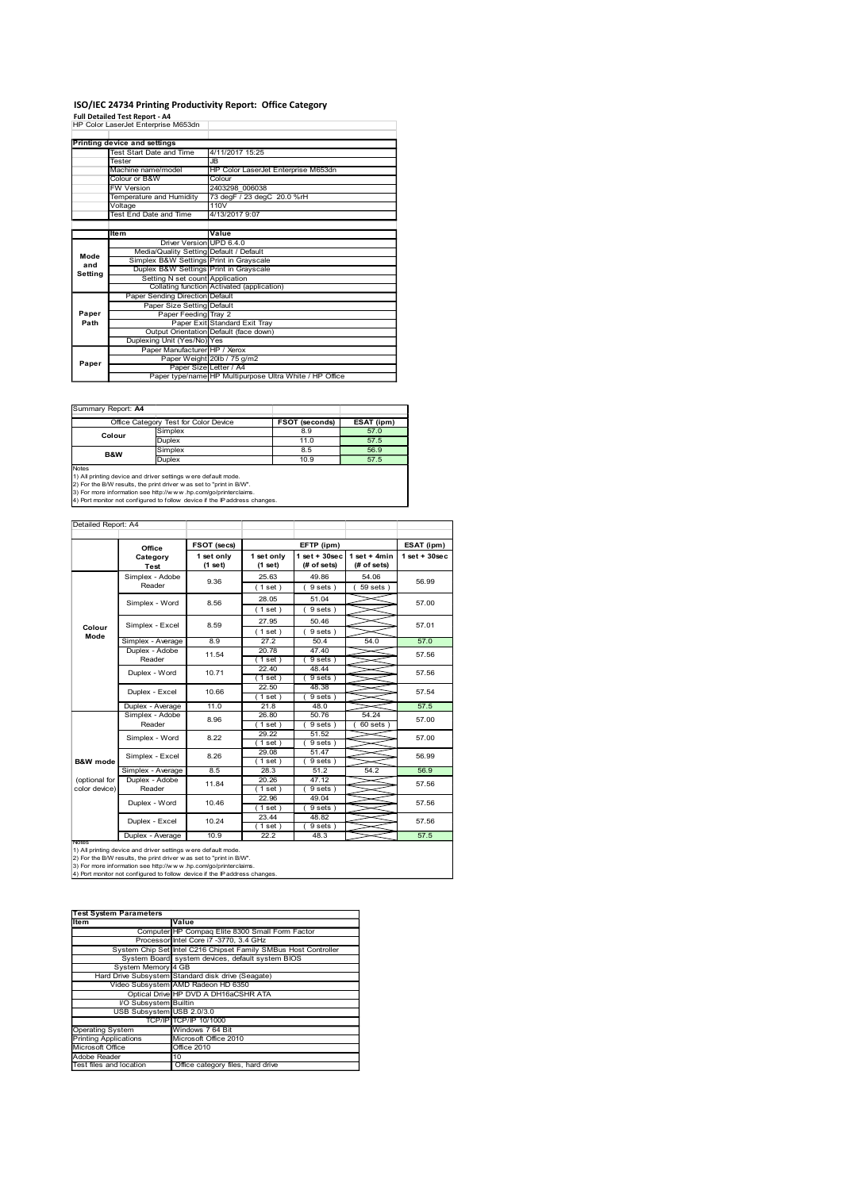### ISO/IEC 24734 Printing Productivity Report: Office Category

|                     |                                     |                                                                                                                                        |                       |                                              |                             | ISO/IEC 24734 Printing Productivity Report: Office Category |                                               |                                  |  |
|---------------------|-------------------------------------|----------------------------------------------------------------------------------------------------------------------------------------|-----------------------|----------------------------------------------|-----------------------------|-------------------------------------------------------------|-----------------------------------------------|----------------------------------|--|
|                     | Full Detailed Test Report - A4      |                                                                                                                                        |                       |                                              |                             |                                                             |                                               |                                  |  |
|                     | <b>Printing device and settings</b> | HP Color LaserJet Enterprise M653dn                                                                                                    |                       |                                              |                             |                                                             |                                               |                                  |  |
|                     | Tester                              | Test Start Date and Time                                                                                                               | JB                    | 4/11/2017 15:25                              |                             |                                                             |                                               |                                  |  |
|                     | Colour or B&W                       | Machine name/model                                                                                                                     |                       | Colour                                       |                             | HP Color LaserJet Enterprise M653dn                         |                                               |                                  |  |
|                     | <b>FW Version</b>                   | Temperature and Humidity                                                                                                               |                       | 2403298 006038<br>73 degF / 23 degC 20.0 %rH |                             |                                                             |                                               |                                  |  |
|                     | Voltage                             | <b>Test End Date and Time</b>                                                                                                          |                       | 110V<br>4/13/2017 9:07                       |                             |                                                             |                                               |                                  |  |
|                     | ltem                                |                                                                                                                                        |                       | Value                                        |                             |                                                             |                                               |                                  |  |
|                     |                                     | Media/Quality Setting Default / Default                                                                                                |                       | Driver Version UPD 6.4.0                     |                             |                                                             |                                               |                                  |  |
| Mode<br>and         |                                     | Simplex B&W Settings Print in Grayscale<br>Duplex B&W Settings Print in Grayscale                                                      |                       |                                              |                             |                                                             |                                               |                                  |  |
| Setting             |                                     | Setting N set count Application<br>Collating function Activated (application)                                                          |                       |                                              |                             |                                                             |                                               |                                  |  |
|                     |                                     | Paper Sending Direction Default<br>Paper Size Setting Default                                                                          |                       |                                              |                             |                                                             |                                               |                                  |  |
| Paper<br>Path       |                                     | Paper Feeding Tray 2                                                                                                                   |                       | Paper Exit Standard Exit Tray                |                             |                                                             |                                               |                                  |  |
|                     |                                     | Output Orientation Default (face down)<br>Duplexing Unit (Yes/No) Yes                                                                  |                       |                                              |                             |                                                             |                                               |                                  |  |
| Paper               |                                     | Paper Manufacturer HP / Xerox                                                                                                          |                       |                                              | Paper Weight 20lb / 75 g/m2 |                                                             |                                               |                                  |  |
|                     |                                     |                                                                                                                                        |                       | Paper Size Letter / A4                       |                             | Paper type/name HP Multipurpose Ultra White / HP Office     |                                               |                                  |  |
|                     |                                     |                                                                                                                                        |                       |                                              |                             |                                                             |                                               |                                  |  |
|                     | Summary Report: A4                  |                                                                                                                                        |                       |                                              |                             |                                                             |                                               |                                  |  |
|                     | Colour                              | Office Category Test for Color Device<br>Simplex                                                                                       |                       |                                              |                             | FSOT (seconds)<br>8.9                                       | ESAT (ipm)<br>57.0                            |                                  |  |
|                     | B&W                                 | Duplex<br>Simplex                                                                                                                      |                       |                                              |                             | 11.0<br>8.5                                                 | 57.5<br>56.9                                  |                                  |  |
| Notes               |                                     | Duplex<br>1) All printing device and driver settings w ere default mode.                                                               |                       |                                              |                             | 10.9                                                        | 57.5                                          |                                  |  |
|                     |                                     | 2) For the B/W results, the print driver was set to "print in B/W".<br>3) For more information see http://www.hp.com/go/printerclaims. |                       |                                              |                             |                                                             |                                               |                                  |  |
|                     |                                     | 4) Port monitor not configured to follow device if the IP address changes.                                                             |                       |                                              |                             |                                                             |                                               |                                  |  |
| Detailed Report: A4 |                                     |                                                                                                                                        |                       |                                              |                             |                                                             |                                               |                                  |  |
|                     |                                     |                                                                                                                                        | FSOT (secs)           |                                              |                             | EFTP (ipm)                                                  |                                               |                                  |  |
|                     |                                     | Office<br>Category                                                                                                                     | 1 set only<br>(1 set) |                                              | 1 set only<br>(1 set)       | (# of sets)                                                 | 1 set + 30 sec   1 set + 4 min<br>(# of sets) | ESAT (ipm)<br>$1$ set + $30$ sec |  |
|                     |                                     | Test<br>Simplex - Adobe                                                                                                                | 9.36                  |                                              | 25.63                       | 49.86                                                       | 54.06                                         |                                  |  |
|                     |                                     | Reader                                                                                                                                 |                       |                                              | (1 set)<br>28.05            | 9 sets)<br>51.04                                            | 59 sets)                                      |                                  |  |
|                     |                                     | Simplex - Word                                                                                                                         | 8.56                  |                                              | (1 set)                     | 9 sets)                                                     |                                               | 57.00                            |  |
|                     |                                     |                                                                                                                                        |                       |                                              | 27.95                       | 50.46                                                       |                                               |                                  |  |

| Summary Report: A4 |                                       |                |            |
|--------------------|---------------------------------------|----------------|------------|
|                    | Office Category Test for Color Device | FSOT (seconds) | ESAT (ipm) |
| Colour             | Simplex                               | 8.9            | 57.0       |
|                    | <b>Duplex</b>                         | 11.0           | 57.5       |
| <b>B&amp;W</b>     | Simplex                               | 8.5            | 56.9       |
|                    | <b>Duplex</b>                         | 10.9           | 57.5       |
| <b>Notes</b>       |                                       |                |            |

|                                           | voitage<br>Test End Date and Time                                                                                                                                                                                                                                                       | 11UV                                                  | 4/13/2017 9:07   |                                                         |                               |                  |
|-------------------------------------------|-----------------------------------------------------------------------------------------------------------------------------------------------------------------------------------------------------------------------------------------------------------------------------------------|-------------------------------------------------------|------------------|---------------------------------------------------------|-------------------------------|------------------|
|                                           |                                                                                                                                                                                                                                                                                         |                                                       |                  |                                                         |                               |                  |
|                                           | ltem<br><b>Driver Version</b>                                                                                                                                                                                                                                                           | Value<br><b>UPD 6.4.0</b>                             |                  |                                                         |                               |                  |
| Mode                                      | Media/Quality Setting Default / Default                                                                                                                                                                                                                                                 |                                                       |                  |                                                         |                               |                  |
| and                                       | Simplex B&W Settings Print in Grayscale<br>Duplex B&W Settings Print in Grayscale                                                                                                                                                                                                       |                                                       |                  |                                                         |                               |                  |
| Setting                                   |                                                                                                                                                                                                                                                                                         | Setting N set count Application                       |                  |                                                         |                               |                  |
|                                           | Paper Sending Direction Default                                                                                                                                                                                                                                                         | Collating function Activated (application)            |                  |                                                         |                               |                  |
|                                           | Paper Size Setting                                                                                                                                                                                                                                                                      | Default                                               |                  |                                                         |                               |                  |
| Paper<br>Path                             |                                                                                                                                                                                                                                                                                         | Paper Feeding Tray 2<br>Paper Exit Standard Exit Tray |                  |                                                         |                               |                  |
|                                           |                                                                                                                                                                                                                                                                                         | Output Orientation Default (face down)                |                  |                                                         |                               |                  |
|                                           | Duplexing Unit (Yes/No) Yes                                                                                                                                                                                                                                                             | Paper Manufacturer HP / Xerox                         |                  |                                                         |                               |                  |
| Paper                                     |                                                                                                                                                                                                                                                                                         | Paper Weight 20lb / 75 g/m2                           |                  |                                                         |                               |                  |
|                                           |                                                                                                                                                                                                                                                                                         | Paper Size Letter / A4                                |                  | Paper type/name HP Multipurpose Ultra White / HP Office |                               |                  |
|                                           |                                                                                                                                                                                                                                                                                         |                                                       |                  |                                                         |                               |                  |
|                                           |                                                                                                                                                                                                                                                                                         |                                                       |                  |                                                         |                               |                  |
| Summary Report: A4                        |                                                                                                                                                                                                                                                                                         |                                                       |                  |                                                         |                               |                  |
|                                           | Office Category Test for Color Device<br>Simplex                                                                                                                                                                                                                                        |                                                       |                  | FSOT (seconds)<br>8.9                                   | ESAT (ipm)<br>57.0            |                  |
|                                           | Colour<br>Duplex                                                                                                                                                                                                                                                                        |                                                       |                  | 11.0                                                    | 57.5                          |                  |
|                                           | Simplex<br>B&W                                                                                                                                                                                                                                                                          |                                                       |                  | 8.5                                                     | 56.9                          |                  |
| Notes                                     | Duplex                                                                                                                                                                                                                                                                                  |                                                       |                  | 10.9                                                    | 57.5                          |                  |
|                                           | 1) All printing device and driver settings w ere default mode.<br>2) For the B/W results, the print driver w as set to "print in B/W".<br>3) For more information see http://www.hp.com/go/printerclaims.<br>4) Port monitor not configured to follow device if the IP address changes. |                                                       |                  |                                                         |                               |                  |
|                                           |                                                                                                                                                                                                                                                                                         |                                                       |                  |                                                         |                               |                  |
| Detailed Report: A4                       |                                                                                                                                                                                                                                                                                         |                                                       |                  |                                                         |                               |                  |
|                                           | Office                                                                                                                                                                                                                                                                                  | FSOT (secs)                                           |                  | EFTP (ipm)                                              |                               | ESAT (ipm)       |
|                                           | Category                                                                                                                                                                                                                                                                                | 1 set only                                            | 1 set only       |                                                         | $1 set + 30 sec$ 1 set + 4min | $1 set + 30 sec$ |
|                                           | Test<br>Simplex - Adobe                                                                                                                                                                                                                                                                 | $(1$ set)                                             | (1 set)<br>25.63 | (# of sets)<br>49.86                                    | (# of sets)<br>54.06          |                  |
|                                           | Reader                                                                                                                                                                                                                                                                                  | 9.36                                                  | (1 set)          | 9 sets)                                                 | $59$ sets $)$                 | 56.99            |
|                                           | Simplex - Word                                                                                                                                                                                                                                                                          | 8.56                                                  | 28.05            | 51.04                                                   |                               | 57.00            |
|                                           |                                                                                                                                                                                                                                                                                         |                                                       | (1 set)          | 9 sets)                                                 |                               |                  |
| Colour                                    | Simplex - Excel                                                                                                                                                                                                                                                                         | 8.59                                                  | 27.95            | 50.46                                                   |                               | 57.01            |
| Mode                                      | Simplex - Average                                                                                                                                                                                                                                                                       | 8.9                                                   | (1 set)<br>27.2  | 9 sets)<br>50.4                                         | 54.0                          | 57.0             |
|                                           | Duplex - Adobe                                                                                                                                                                                                                                                                          |                                                       | 20.78            | 47.40                                                   |                               |                  |
|                                           | Reader                                                                                                                                                                                                                                                                                  | 11.54                                                 | (1 set)          | 9 sets                                                  |                               | 57.56            |
|                                           | Duplex - Word                                                                                                                                                                                                                                                                           | 10.71                                                 | 22.40            | 48.44                                                   |                               | 57.56            |
|                                           |                                                                                                                                                                                                                                                                                         |                                                       | (1 set)<br>22.50 | 9 sets)<br>48.38                                        |                               |                  |
|                                           | Duplex - Excel                                                                                                                                                                                                                                                                          | 10.66                                                 | (1 set)          | 9 sets                                                  |                               | 57.54            |
|                                           | Duplex - Average<br>Simplex - Adobe                                                                                                                                                                                                                                                     | 11.0                                                  | 21.8<br>26.80    | 48.0<br>50.76                                           | 54.24                         | 57.5             |
|                                           | Reader                                                                                                                                                                                                                                                                                  | 8.96                                                  | $(1$ set)        | (9 sets)                                                | $60$ sets)                    | 57.00            |
|                                           | Simplex - Word                                                                                                                                                                                                                                                                          | 8.22                                                  | 29.22            | 51.52                                                   |                               | 57.00            |
|                                           |                                                                                                                                                                                                                                                                                         |                                                       | (1 set)<br>29.08 | 9 sets)<br>51.47                                        |                               |                  |
| <b>B&amp;W</b> mode                       | Simplex - Excel                                                                                                                                                                                                                                                                         | 8.26                                                  | (1 set)          | (9 sets)                                                |                               | 56.99            |
| (optional for                             | Simplex - Average                                                                                                                                                                                                                                                                       | 8.5                                                   | 28.3             | 51.2<br>47.12                                           | 54.2                          | 56.9             |
| color device)                             | Duplex - Adobe<br>Reader                                                                                                                                                                                                                                                                | 11.84                                                 | 20.26<br>(1 set) | 9 sets)                                                 |                               | 57.56            |
|                                           | Duplex - Word                                                                                                                                                                                                                                                                           | 10.46                                                 | 22.96            | 49.04                                                   |                               | 57.56            |
|                                           |                                                                                                                                                                                                                                                                                         |                                                       | (1 set)<br>23.44 | (9 sets)<br>48.82                                       |                               |                  |
|                                           | Duplex - Excel                                                                                                                                                                                                                                                                          | 10.24                                                 | (1 set)          | 9 sets                                                  |                               | 57.56            |
|                                           | Duplex - Average                                                                                                                                                                                                                                                                        | 10.9                                                  | 22.2             | 48.3                                                    |                               | 57.5             |
|                                           | 1) All printing device and driver settings w ere default mode.                                                                                                                                                                                                                          |                                                       |                  |                                                         |                               |                  |
|                                           | 2) For the B/W results, the print driver w as set to "print in B/W".<br>3) For more information see http://www.hp.com/go/printerclaims.                                                                                                                                                 |                                                       |                  |                                                         |                               |                  |
|                                           | 4) Port monitor not configured to follow device if the IP address changes.                                                                                                                                                                                                              |                                                       |                  |                                                         |                               |                  |
|                                           |                                                                                                                                                                                                                                                                                         |                                                       |                  |                                                         |                               |                  |
|                                           |                                                                                                                                                                                                                                                                                         |                                                       |                  |                                                         |                               |                  |
| Item                                      | <b>Test System Parameters</b><br>Value                                                                                                                                                                                                                                                  |                                                       |                  |                                                         |                               |                  |
|                                           | Computer                                                                                                                                                                                                                                                                                | HP Compaq Elite 8300 Small Form Factor                |                  |                                                         |                               |                  |
|                                           | Processor                                                                                                                                                                                                                                                                               | Intel Core i7 -3770, 3.4 GHz                          |                  |                                                         |                               |                  |
|                                           | System Chip Set Intel C216 Chipset Family SMBus Host Controller<br>System Board                                                                                                                                                                                                         | system devices, default system BIOS                   |                  |                                                         |                               |                  |
|                                           | System Memory 4 GB                                                                                                                                                                                                                                                                      |                                                       |                  |                                                         |                               |                  |
|                                           | Hard Drive Subsystem<br>Video Subsystem AMD Radeon HD 6350                                                                                                                                                                                                                              | Standard disk drive (Seagate)                         |                  |                                                         |                               |                  |
|                                           | Optical Drive HP DVD A DH16aCSHR ATA                                                                                                                                                                                                                                                    |                                                       |                  |                                                         |                               |                  |
|                                           | I/O Subsystem Builtin                                                                                                                                                                                                                                                                   |                                                       |                  |                                                         |                               |                  |
|                                           | USB Subsystem USB 2.0/3.0                                                                                                                                                                                                                                                               | TCP/IP TCP/IP 10/1000                                 |                  |                                                         |                               |                  |
| Operating System<br>Printing Applications |                                                                                                                                                                                                                                                                                         | Windows 7 64 Bit                                      |                  |                                                         |                               |                  |
| Microsoft Office                          |                                                                                                                                                                                                                                                                                         | Microsoft Office 2010<br>Office 2010                  |                  |                                                         |                               |                  |
| Adobe Reader                              | 10                                                                                                                                                                                                                                                                                      |                                                       |                  |                                                         |                               |                  |
| Test files and location                   |                                                                                                                                                                                                                                                                                         | Office category files, hard drive                     |                  |                                                         |                               |                  |
|                                           |                                                                                                                                                                                                                                                                                         |                                                       |                  |                                                         |                               |                  |
|                                           |                                                                                                                                                                                                                                                                                         |                                                       |                  |                                                         |                               |                  |
|                                           |                                                                                                                                                                                                                                                                                         |                                                       |                  |                                                         |                               |                  |
|                                           |                                                                                                                                                                                                                                                                                         |                                                       |                  |                                                         |                               |                  |
|                                           |                                                                                                                                                                                                                                                                                         |                                                       |                  |                                                         |                               |                  |
|                                           |                                                                                                                                                                                                                                                                                         |                                                       |                  |                                                         |                               |                  |

| <b>Test System Parameters</b> |                                                                 |  |  |  |  |
|-------------------------------|-----------------------------------------------------------------|--|--|--|--|
| Item                          | Value                                                           |  |  |  |  |
|                               | Computer HP Compaq Elite 8300 Small Form Factor                 |  |  |  |  |
|                               | Processor Intel Core i7 -3770, 3.4 GHz                          |  |  |  |  |
|                               | System Chip Set Intel C216 Chipset Family SMBus Host Controller |  |  |  |  |
|                               | System Board system devices, default system BIOS                |  |  |  |  |
| System Memory 4 GB            |                                                                 |  |  |  |  |
|                               | Hard Drive Subsystem Standard disk drive (Seagate)              |  |  |  |  |
|                               | Video Subsystem AMD Radeon HD 6350                              |  |  |  |  |
|                               | Optical Drive HP DVD A DH16aCSHR ATA                            |  |  |  |  |
| <b>VO Subsystem Builtin</b>   |                                                                 |  |  |  |  |
| USB Subsystem USB 2.0/3.0     |                                                                 |  |  |  |  |
|                               | TCP/IP TCP/IP 10/1000                                           |  |  |  |  |
| <b>Operating System</b>       | Windows 7 64 Bit                                                |  |  |  |  |
| <b>Printing Applications</b>  | Microsoft Office 2010                                           |  |  |  |  |
| Microsoft Office              | Office 2010                                                     |  |  |  |  |
| Adobe Reader                  | 10                                                              |  |  |  |  |
| Test files and location       | Office category files, hard drive                               |  |  |  |  |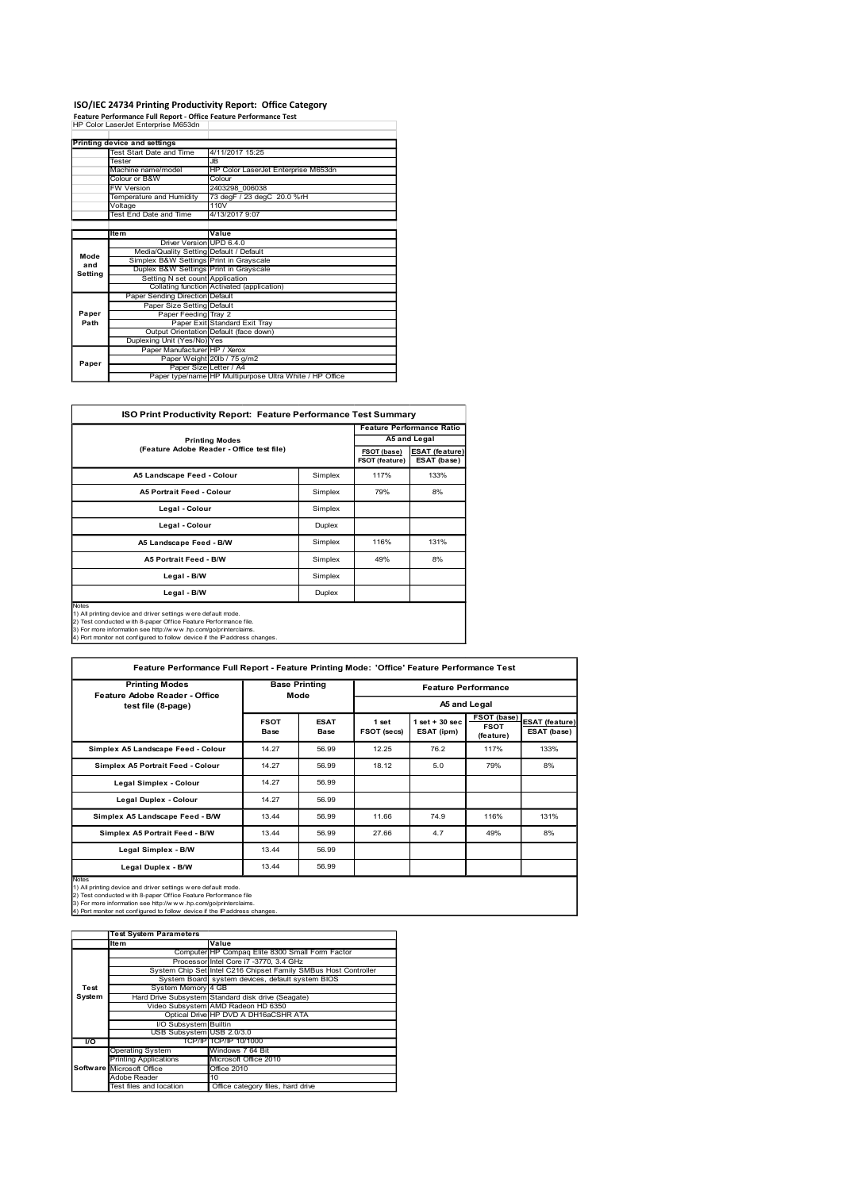# ISO/IEC 24734 Printing Productivity Report: Office Category Feature Performance Full Report - Office Feature Performance Test

| ISO/IEC 24734 Printing Productivity Report: Office Category<br>Feature Performance Full Report - Office Feature Performance Test<br>HP Color LaserJet Enterprise M653dn<br>Printing device and settings<br>Test Start Date and Time<br>4/11/2017 15:25<br>Tester<br><b>JB</b><br>HP Color LaserJet Enterprise M653dn<br>Machine name/model<br>Colour or B&W<br>Colour<br>2403298 006038<br>FW Version<br>Temperature and Humidity<br>73 degF / 23 degC 20.0 %rH<br>110V<br>Voltage<br><b>Test End Date and Time</b><br>4/13/2017 9:07<br>Value<br>Item<br>Driver Version UPD 6.4.0<br>Media/Quality Setting Default / Default<br>Mode<br>Simplex B&W Settings Print in Grayscale<br>and<br>Duplex B&W Settings Print in Grayscale<br>Setting<br>Setting N set count Application<br>Collating function Activated (application)<br>Paper Sending Direction Default<br>Paper Size Setting Default<br>Paper<br>Paper Feeding Tray 2<br>Path<br>Paper Exit Standard Exit Tray |
|--------------------------------------------------------------------------------------------------------------------------------------------------------------------------------------------------------------------------------------------------------------------------------------------------------------------------------------------------------------------------------------------------------------------------------------------------------------------------------------------------------------------------------------------------------------------------------------------------------------------------------------------------------------------------------------------------------------------------------------------------------------------------------------------------------------------------------------------------------------------------------------------------------------------------------------------------------------------------|
|                                                                                                                                                                                                                                                                                                                                                                                                                                                                                                                                                                                                                                                                                                                                                                                                                                                                                                                                                                          |
|                                                                                                                                                                                                                                                                                                                                                                                                                                                                                                                                                                                                                                                                                                                                                                                                                                                                                                                                                                          |
|                                                                                                                                                                                                                                                                                                                                                                                                                                                                                                                                                                                                                                                                                                                                                                                                                                                                                                                                                                          |
|                                                                                                                                                                                                                                                                                                                                                                                                                                                                                                                                                                                                                                                                                                                                                                                                                                                                                                                                                                          |
|                                                                                                                                                                                                                                                                                                                                                                                                                                                                                                                                                                                                                                                                                                                                                                                                                                                                                                                                                                          |
|                                                                                                                                                                                                                                                                                                                                                                                                                                                                                                                                                                                                                                                                                                                                                                                                                                                                                                                                                                          |
|                                                                                                                                                                                                                                                                                                                                                                                                                                                                                                                                                                                                                                                                                                                                                                                                                                                                                                                                                                          |
|                                                                                                                                                                                                                                                                                                                                                                                                                                                                                                                                                                                                                                                                                                                                                                                                                                                                                                                                                                          |
|                                                                                                                                                                                                                                                                                                                                                                                                                                                                                                                                                                                                                                                                                                                                                                                                                                                                                                                                                                          |
|                                                                                                                                                                                                                                                                                                                                                                                                                                                                                                                                                                                                                                                                                                                                                                                                                                                                                                                                                                          |
|                                                                                                                                                                                                                                                                                                                                                                                                                                                                                                                                                                                                                                                                                                                                                                                                                                                                                                                                                                          |
|                                                                                                                                                                                                                                                                                                                                                                                                                                                                                                                                                                                                                                                                                                                                                                                                                                                                                                                                                                          |
|                                                                                                                                                                                                                                                                                                                                                                                                                                                                                                                                                                                                                                                                                                                                                                                                                                                                                                                                                                          |
|                                                                                                                                                                                                                                                                                                                                                                                                                                                                                                                                                                                                                                                                                                                                                                                                                                                                                                                                                                          |
|                                                                                                                                                                                                                                                                                                                                                                                                                                                                                                                                                                                                                                                                                                                                                                                                                                                                                                                                                                          |
|                                                                                                                                                                                                                                                                                                                                                                                                                                                                                                                                                                                                                                                                                                                                                                                                                                                                                                                                                                          |
|                                                                                                                                                                                                                                                                                                                                                                                                                                                                                                                                                                                                                                                                                                                                                                                                                                                                                                                                                                          |
|                                                                                                                                                                                                                                                                                                                                                                                                                                                                                                                                                                                                                                                                                                                                                                                                                                                                                                                                                                          |
|                                                                                                                                                                                                                                                                                                                                                                                                                                                                                                                                                                                                                                                                                                                                                                                                                                                                                                                                                                          |
|                                                                                                                                                                                                                                                                                                                                                                                                                                                                                                                                                                                                                                                                                                                                                                                                                                                                                                                                                                          |
|                                                                                                                                                                                                                                                                                                                                                                                                                                                                                                                                                                                                                                                                                                                                                                                                                                                                                                                                                                          |
|                                                                                                                                                                                                                                                                                                                                                                                                                                                                                                                                                                                                                                                                                                                                                                                                                                                                                                                                                                          |
|                                                                                                                                                                                                                                                                                                                                                                                                                                                                                                                                                                                                                                                                                                                                                                                                                                                                                                                                                                          |
|                                                                                                                                                                                                                                                                                                                                                                                                                                                                                                                                                                                                                                                                                                                                                                                                                                                                                                                                                                          |
|                                                                                                                                                                                                                                                                                                                                                                                                                                                                                                                                                                                                                                                                                                                                                                                                                                                                                                                                                                          |
|                                                                                                                                                                                                                                                                                                                                                                                                                                                                                                                                                                                                                                                                                                                                                                                                                                                                                                                                                                          |
|                                                                                                                                                                                                                                                                                                                                                                                                                                                                                                                                                                                                                                                                                                                                                                                                                                                                                                                                                                          |
|                                                                                                                                                                                                                                                                                                                                                                                                                                                                                                                                                                                                                                                                                                                                                                                                                                                                                                                                                                          |
|                                                                                                                                                                                                                                                                                                                                                                                                                                                                                                                                                                                                                                                                                                                                                                                                                                                                                                                                                                          |
|                                                                                                                                                                                                                                                                                                                                                                                                                                                                                                                                                                                                                                                                                                                                                                                                                                                                                                                                                                          |
|                                                                                                                                                                                                                                                                                                                                                                                                                                                                                                                                                                                                                                                                                                                                                                                                                                                                                                                                                                          |
|                                                                                                                                                                                                                                                                                                                                                                                                                                                                                                                                                                                                                                                                                                                                                                                                                                                                                                                                                                          |
|                                                                                                                                                                                                                                                                                                                                                                                                                                                                                                                                                                                                                                                                                                                                                                                                                                                                                                                                                                          |
|                                                                                                                                                                                                                                                                                                                                                                                                                                                                                                                                                                                                                                                                                                                                                                                                                                                                                                                                                                          |
| Output Orientation Default (face down)<br>Duplexing Unit (Yes/No) Yes                                                                                                                                                                                                                                                                                                                                                                                                                                                                                                                                                                                                                                                                                                                                                                                                                                                                                                    |
| Paper Manufacturer HP / Xerox                                                                                                                                                                                                                                                                                                                                                                                                                                                                                                                                                                                                                                                                                                                                                                                                                                                                                                                                            |
| Paper Weight 20lb / 75 g/m2<br>Paper<br>Paper Size Letter / A4                                                                                                                                                                                                                                                                                                                                                                                                                                                                                                                                                                                                                                                                                                                                                                                                                                                                                                           |
| Paper type/name HP Multipurpose Ultra White / HP Office                                                                                                                                                                                                                                                                                                                                                                                                                                                                                                                                                                                                                                                                                                                                                                                                                                                                                                                  |
|                                                                                                                                                                                                                                                                                                                                                                                                                                                                                                                                                                                                                                                                                                                                                                                                                                                                                                                                                                          |
| ISO Print Productivity Report: Feature Performance Test Summary                                                                                                                                                                                                                                                                                                                                                                                                                                                                                                                                                                                                                                                                                                                                                                                                                                                                                                          |
| <b>Feature Performance Ratio</b>                                                                                                                                                                                                                                                                                                                                                                                                                                                                                                                                                                                                                                                                                                                                                                                                                                                                                                                                         |
| A5 and Legal<br><b>Printing Modes</b>                                                                                                                                                                                                                                                                                                                                                                                                                                                                                                                                                                                                                                                                                                                                                                                                                                                                                                                                    |

|         | <b>ISO/IEC 24734 Printing Productivity Report: Office Category</b>                                                                                                                                                                                                                 |                                                |                              |             |                |                                  |                                            |
|---------|------------------------------------------------------------------------------------------------------------------------------------------------------------------------------------------------------------------------------------------------------------------------------------|------------------------------------------------|------------------------------|-------------|----------------|----------------------------------|--------------------------------------------|
|         | Feature Performance Full Report - Office Feature Performance Test<br>HP Color LaserJet Enterprise M653dn                                                                                                                                                                           |                                                |                              |             |                |                                  |                                            |
|         |                                                                                                                                                                                                                                                                                    |                                                |                              |             |                |                                  |                                            |
|         | Printing device and settings                                                                                                                                                                                                                                                       |                                                |                              |             |                |                                  |                                            |
|         | Fest Start Date and Time<br><b>Fester</b><br>JB                                                                                                                                                                                                                                    | 4/11/2017 15:25                                |                              |             |                |                                  |                                            |
|         | Machine name/model                                                                                                                                                                                                                                                                 | HP Color LaserJet Enterprise M653dn            |                              |             |                |                                  |                                            |
|         | Colour or B&W                                                                                                                                                                                                                                                                      | Colour                                         |                              |             |                |                                  |                                            |
|         | W Version                                                                                                                                                                                                                                                                          | 2403298 006038                                 |                              |             |                |                                  |                                            |
|         | Femperature and Humidity                                                                                                                                                                                                                                                           | 73 degF / 23 degC 20.0 %rH<br>110V             |                              |             |                |                                  |                                            |
|         | Voltage<br>Test End Date and Time                                                                                                                                                                                                                                                  | 4/13/2017 9:07                                 |                              |             |                |                                  |                                            |
|         |                                                                                                                                                                                                                                                                                    |                                                |                              |             |                |                                  |                                            |
|         | Item                                                                                                                                                                                                                                                                               | Value                                          |                              |             |                |                                  |                                            |
|         | <b>Driver Version</b>                                                                                                                                                                                                                                                              | <b>UPD 6.4.0</b>                               |                              |             |                |                                  |                                            |
| Mode    | Media/Quality Setting<br>Simplex B&W Settings                                                                                                                                                                                                                                      | Default / Default<br><b>Print in Grayscale</b> |                              |             |                |                                  |                                            |
| and     | Duplex B&W Settings                                                                                                                                                                                                                                                                | Print in Grayscale                             |                              |             |                |                                  |                                            |
| Setting | Setting N set count                                                                                                                                                                                                                                                                | Application                                    |                              |             |                |                                  |                                            |
|         | Collating function Activated (application)                                                                                                                                                                                                                                         |                                                |                              |             |                |                                  |                                            |
|         | <b>Paper Sending Direction</b>                                                                                                                                                                                                                                                     | Default<br>Default                             |                              |             |                |                                  |                                            |
| Paper   | Paper Size Setting<br>Paper Feeding Tray 2                                                                                                                                                                                                                                         |                                                |                              |             |                |                                  |                                            |
| Path    | Paper Exit                                                                                                                                                                                                                                                                         | Standard Exit Tray                             |                              |             |                |                                  |                                            |
|         | Output Orientation Default (face down)                                                                                                                                                                                                                                             |                                                |                              |             |                |                                  |                                            |
|         | Duplexing Unit (Yes/No) Yes                                                                                                                                                                                                                                                        |                                                |                              |             |                |                                  |                                            |
|         | Paper Manufacturer HP / Xerox<br>Paper Weight                                                                                                                                                                                                                                      | 20lb / 75 g/m2                                 |                              |             |                |                                  |                                            |
| Paper   | Paper Size Letter / A4                                                                                                                                                                                                                                                             |                                                |                              |             |                |                                  |                                            |
|         | Paper type/name HP Multipurpose Ultra White / HP Office                                                                                                                                                                                                                            |                                                |                              |             |                |                                  |                                            |
|         | ISO Print Productivity Report: Feature Performance Test Summary                                                                                                                                                                                                                    |                                                |                              |             |                | <b>Feature Performance Ratio</b> |                                            |
|         | <b>Printing Modes</b>                                                                                                                                                                                                                                                              |                                                |                              |             |                | A5 and Legal                     |                                            |
|         | (Feature Adobe Reader - Office test file)                                                                                                                                                                                                                                          |                                                |                              |             | FSOT (base)    | <b>ESAT</b> (feature)            |                                            |
|         |                                                                                                                                                                                                                                                                                    |                                                |                              |             | FSOT (feature) | ESAT (base)                      |                                            |
|         | A5 Landscape Feed - Colour<br>Simplex                                                                                                                                                                                                                                              |                                                |                              |             | 117%           | 133%                             |                                            |
|         | A5 Portrait Feed - Colour<br>Simplex                                                                                                                                                                                                                                               |                                                |                              |             | 79%            | 8%                               |                                            |
|         | Legal - Colour<br>Simplex                                                                                                                                                                                                                                                          |                                                |                              |             |                |                                  |                                            |
|         | Legal - Colour<br>Duplex                                                                                                                                                                                                                                                           |                                                |                              |             |                |                                  |                                            |
|         | A5 Landscape Feed - B/W<br>Simplex                                                                                                                                                                                                                                                 |                                                |                              |             | 116%           | 131%                             |                                            |
|         | A5 Portrait Feed - B/W                                                                                                                                                                                                                                                             |                                                |                              | Simplex     | 49%            | 8%                               |                                            |
|         | Legal - B/W<br>Simplex                                                                                                                                                                                                                                                             |                                                |                              |             |                |                                  |                                            |
|         | Legal - B/W                                                                                                                                                                                                                                                                        |                                                |                              | Duplex      |                |                                  |                                            |
| Notes   | 1) All printing device and driver settings w ere default mode.<br>2) Test conducted with 8-paper Office Feature Performance file.<br>3) For more information see http://www.hp.com/go/printerclaims.<br>4) Port monitor not configured to follow device if the IP address changes. |                                                |                              |             |                |                                  |                                            |
|         | Feature Performance Full Report - Feature Printing Mode: 'Office' Feature Performance Test                                                                                                                                                                                         |                                                |                              |             |                |                                  |                                            |
|         | <b>Printing Modes</b><br>Feature Adobe Reader - Office                                                                                                                                                                                                                             |                                                | <b>Base Printing</b><br>Mode |             |                |                                  | <b>Feature Performance</b>                 |
|         | test file (8-page)                                                                                                                                                                                                                                                                 |                                                |                              |             |                |                                  | A5 and Legal<br>FSOT (base) ESAT (feature) |
|         |                                                                                                                                                                                                                                                                                    |                                                | <b>FSOT</b>                  | <b>ESAT</b> | 1 set          | $1$ set + 30 sec                 |                                            |

|            | r apertype/ilanie in multipulpose onla writte / Tir Ollice                                                                                                                                                                                                                                                                                                                       |                                           |                                                  |                     |                      |                                                  |                                         |                               |
|------------|----------------------------------------------------------------------------------------------------------------------------------------------------------------------------------------------------------------------------------------------------------------------------------------------------------------------------------------------------------------------------------|-------------------------------------------|--------------------------------------------------|---------------------|----------------------|--------------------------------------------------|-----------------------------------------|-------------------------------|
|            |                                                                                                                                                                                                                                                                                                                                                                                  |                                           |                                                  |                     |                      |                                                  |                                         |                               |
|            | ISO Print Productivity Report: Feature Performance Test Summary                                                                                                                                                                                                                                                                                                                  |                                           |                                                  |                     |                      |                                                  |                                         |                               |
|            |                                                                                                                                                                                                                                                                                                                                                                                  | <b>Printing Modes</b>                     |                                                  |                     |                      | <b>Feature Performance Ratio</b><br>A5 and Legal |                                         |                               |
|            | (Feature Adobe Reader - Office test file)                                                                                                                                                                                                                                                                                                                                        | <b>ESAT</b> (feature)<br>ESAT (base)      |                                                  |                     |                      |                                                  |                                         |                               |
|            | A5 Landscape Feed - Colour                                                                                                                                                                                                                                                                                                                                                       | 117%                                      | 133%                                             |                     |                      |                                                  |                                         |                               |
|            | A5 Portrait Feed - Colour                                                                                                                                                                                                                                                                                                                                                        |                                           |                                                  | Simplex             | 79%                  | 8%                                               |                                         |                               |
|            | Legal - Colour                                                                                                                                                                                                                                                                                                                                                                   |                                           |                                                  | Simplex             |                      |                                                  |                                         |                               |
|            | Legal - Colour                                                                                                                                                                                                                                                                                                                                                                   |                                           |                                                  | Duplex              |                      |                                                  |                                         |                               |
|            | A5 Landscape Feed - B/W                                                                                                                                                                                                                                                                                                                                                          |                                           |                                                  | Simplex             | 116%                 | 131%                                             |                                         |                               |
|            | A5 Portrait Feed - B/W                                                                                                                                                                                                                                                                                                                                                           |                                           |                                                  | Simplex             | 49%                  | 8%                                               |                                         |                               |
|            | Legal - B/W<br>Legal - B/W                                                                                                                                                                                                                                                                                                                                                       |                                           |                                                  | Simplex<br>Duplex   |                      |                                                  |                                         |                               |
| Notes      | 1) All printing device and driver settings w ere default mode.<br>2) Test conducted with 8-paper Office Feature Performance file.<br>3) For more information see http://www.hp.com/go/printerclaims.<br>4) Port monitor not configured to follow device if the IP address changes.<br>Feature Performance Full Report - Feature Printing Mode: 'Office' Feature Performance Test |                                           |                                                  |                     |                      |                                                  |                                         |                               |
|            | <b>Printing Modes</b>                                                                                                                                                                                                                                                                                                                                                            |                                           | <b>Base Printing</b>                             |                     |                      | <b>Feature Performance</b>                       |                                         |                               |
|            | Feature Adobe Reader - Office<br>test file (8-page)                                                                                                                                                                                                                                                                                                                              |                                           | Mode                                             |                     |                      | A5 and Legal                                     |                                         |                               |
|            |                                                                                                                                                                                                                                                                                                                                                                                  |                                           | <b>FSOT</b><br><b>Base</b>                       | <b>ESAT</b><br>Base | 1 set<br>FSOT (secs) | $1 set + 30 sec$<br>ESAT (ipm)                   | FSOT (base)<br><b>FSOT</b><br>(feature) | ESAT (feature)<br>ESAT (base) |
|            | Simplex A5 Landscape Feed - Colour                                                                                                                                                                                                                                                                                                                                               |                                           | 14.27                                            | 56.99               | 12.25                | 76.2                                             | 117%                                    | 133%                          |
|            | Simplex A5 Portrait Feed - Colour                                                                                                                                                                                                                                                                                                                                                |                                           | 14.27                                            | 56.99               | 18.12                | 5.0                                              | 79%                                     | 8%                            |
|            | Legal Simplex - Colour                                                                                                                                                                                                                                                                                                                                                           |                                           |                                                  | 56.99               |                      |                                                  |                                         |                               |
|            | Legal Duplex - Colour                                                                                                                                                                                                                                                                                                                                                            |                                           | 14.27                                            | 56.99               |                      |                                                  |                                         |                               |
|            | Simplex A5 Landscape Feed - B/W                                                                                                                                                                                                                                                                                                                                                  |                                           | 13.44                                            | 56.99               | 11.66                | 74.9                                             | 116%                                    | 131%                          |
|            | Simplex A5 Portrait Feed - B/W                                                                                                                                                                                                                                                                                                                                                   |                                           | 13.44                                            | 56.99               | 27.66                | 4.7                                              | 49%                                     | 8%                            |
|            | Legal Simplex - B/W                                                                                                                                                                                                                                                                                                                                                              |                                           | 13.44                                            | 56.99               |                      |                                                  |                                         |                               |
| Notes      | Legal Duplex - B/W                                                                                                                                                                                                                                                                                                                                                               |                                           | 13.44                                            | 56.99               |                      |                                                  |                                         |                               |
|            | 1) All printing device and driver settings w ere default mode.<br>2) Test conducted with 8-paper Office Feature Performance file<br>3) For more information see http://www.hp.com/go/printerclaims.<br>4) Port monitor not configured to follow device if the IP address changes.                                                                                                |                                           |                                                  |                     |                      |                                                  |                                         |                               |
|            | <b>Test System Parameters</b><br>Item                                                                                                                                                                                                                                                                                                                                            | Value                                     |                                                  |                     |                      |                                                  |                                         |                               |
|            |                                                                                                                                                                                                                                                                                                                                                                                  |                                           | Computer HP Compaq Elite 8300 Small Form Factor  |                     |                      |                                                  |                                         |                               |
|            | System Chip Set Intel C216 Chipset Family SMBus Host Controller                                                                                                                                                                                                                                                                                                                  |                                           | Processor Intel Core i7 -3770, 3.4 GHz           |                     |                      |                                                  |                                         |                               |
| Test       | System Memory 4 GB                                                                                                                                                                                                                                                                                                                                                               |                                           | System Board system devices, default system BIOS |                     |                      |                                                  |                                         |                               |
| System     | Hard Drive Subsystem Standard disk drive (Seagate)                                                                                                                                                                                                                                                                                                                               |                                           |                                                  |                     |                      |                                                  |                                         |                               |
|            | Video Subsystem AMD Radeon HD 6350<br>Optical Drive HP DVD A DH16aCSHR ATA                                                                                                                                                                                                                                                                                                       |                                           |                                                  |                     |                      |                                                  |                                         |                               |
|            | I/O Subsystem Builtin<br>USB Subsystem USB 2.0/3.0                                                                                                                                                                                                                                                                                                                               |                                           |                                                  |                     |                      |                                                  |                                         |                               |
| <b>I</b> o | Operating System                                                                                                                                                                                                                                                                                                                                                                 | TCP/IP TCP/IP 10/1000<br>Windows 7 64 Bit |                                                  |                     |                      |                                                  |                                         |                               |
|            | <b>Printing Applications</b>                                                                                                                                                                                                                                                                                                                                                     |                                           | Microsoft Office 2010                            |                     |                      |                                                  |                                         |                               |
|            | Software Microsoft Office<br>Adobe Reader                                                                                                                                                                                                                                                                                                                                        | Office 2010<br>10                         |                                                  |                     |                      |                                                  |                                         |                               |
|            | Test files and location                                                                                                                                                                                                                                                                                                                                                          |                                           | Office category files, hard drive                |                     |                      |                                                  |                                         |                               |
|            |                                                                                                                                                                                                                                                                                                                                                                                  |                                           |                                                  |                     |                      |                                                  |                                         |                               |
|            |                                                                                                                                                                                                                                                                                                                                                                                  |                                           |                                                  |                     |                      |                                                  |                                         |                               |
|            |                                                                                                                                                                                                                                                                                                                                                                                  |                                           |                                                  |                     |                      |                                                  |                                         |                               |
|            |                                                                                                                                                                                                                                                                                                                                                                                  |                                           |                                                  |                     |                      |                                                  |                                         |                               |
|            |                                                                                                                                                                                                                                                                                                                                                                                  |                                           |                                                  |                     |                      |                                                  |                                         |                               |
|            |                                                                                                                                                                                                                                                                                                                                                                                  |                                           |                                                  |                     |                      |                                                  |                                         |                               |

|                | <b>Test System Parameters</b> |                                                                 |  |  |  |
|----------------|-------------------------------|-----------------------------------------------------------------|--|--|--|
|                | Item                          | Value                                                           |  |  |  |
|                |                               | Computer HP Compaq Elite 8300 Small Form Factor                 |  |  |  |
|                |                               | Processor Intel Core i7 -3770, 3.4 GHz                          |  |  |  |
|                |                               | System Chip Set Intel C216 Chipset Family SMBus Host Controller |  |  |  |
|                |                               | System Board system devices, default system BIOS                |  |  |  |
| Test           | System Memory 4 GB            |                                                                 |  |  |  |
| System         |                               | Hard Drive Subsystem Standard disk drive (Seagate)              |  |  |  |
|                |                               | Video Subsystem AMD Radeon HD 6350                              |  |  |  |
|                |                               | Optical Drive HP DVD A DH16aCSHR ATA                            |  |  |  |
|                | I/O Subsystem Builtin         |                                                                 |  |  |  |
|                | USB Subsystem USB 2.0/3.0     |                                                                 |  |  |  |
| $\overline{U}$ |                               | TCP/IPITCP/IP 10/1000                                           |  |  |  |
|                | <b>Operating System</b>       | Windows 7 64 Bit                                                |  |  |  |
|                | <b>Printing Applications</b>  | Microsoft Office 2010                                           |  |  |  |
|                | Software Microsoft Office     | Office 2010                                                     |  |  |  |
|                | Adobe Reader                  | 10                                                              |  |  |  |
|                | Test files and location       | Office category files, hard drive                               |  |  |  |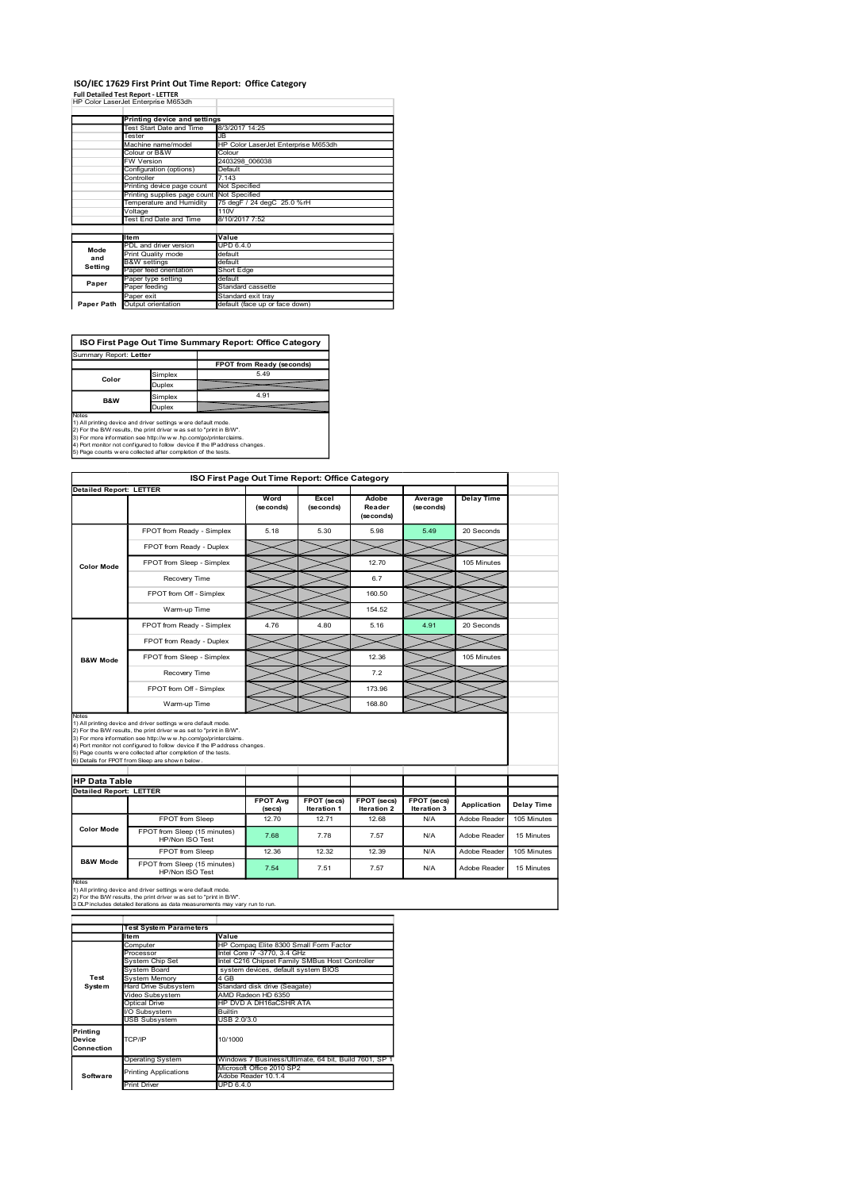#### ISO/IEC 17629 First Print Out Time Report: Office Category

|                                                                                                                                             |                             |                                                          |                             | ISO/IEC 17629 First Print Out Time Report: Office Category |                    |                              |                       |                   |  |  |  |  |
|---------------------------------------------------------------------------------------------------------------------------------------------|-----------------------------|----------------------------------------------------------|-----------------------------|------------------------------------------------------------|--------------------|------------------------------|-----------------------|-------------------|--|--|--|--|
| <b>Full Detailed Test Report - LETTER</b><br>HP Color LaserJet Enterprise M653dh                                                            |                             |                                                          |                             |                                                            |                    |                              |                       |                   |  |  |  |  |
|                                                                                                                                             |                             | Printing device and settings                             |                             |                                                            |                    |                              |                       |                   |  |  |  |  |
|                                                                                                                                             |                             | Test Start Date and Time                                 | 3/3/2017 14:25              |                                                            |                    |                              |                       |                   |  |  |  |  |
|                                                                                                                                             | Tester                      | Machine name/model                                       | JB                          | HP Color LaserJet Enterprise M653dh                        |                    |                              |                       |                   |  |  |  |  |
|                                                                                                                                             | Colour or B&W<br>FW Version |                                                          | Colour                      | 2403298_006038                                             |                    |                              |                       |                   |  |  |  |  |
|                                                                                                                                             | Controller                  | Configuration (options)                                  | Default<br>7.143            |                                                            |                    |                              |                       |                   |  |  |  |  |
|                                                                                                                                             |                             | Printing device page count                               | Not Specified               |                                                            |                    |                              |                       |                   |  |  |  |  |
|                                                                                                                                             |                             | Printing supplies page count<br>Temperature and Humidity | Not Specified<br>110V       | 75 degF / 24 degC 25.0 %rH                                 |                    |                              |                       |                   |  |  |  |  |
|                                                                                                                                             | Voltage                     | Test End Date and Time                                   | 8/10/2017 7:52              |                                                            |                    |                              |                       |                   |  |  |  |  |
|                                                                                                                                             | Item                        |                                                          | Value                       |                                                            |                    |                              |                       |                   |  |  |  |  |
| Mode                                                                                                                                        |                             | PDL and driver version<br>Print Quality mode             | <b>UPD 6.4.0</b><br>default |                                                            |                    |                              |                       |                   |  |  |  |  |
| and<br>Setting                                                                                                                              | <b>B&amp;W</b> settings     | Paper feed orientation                                   | default<br>Short Edge       |                                                            |                    |                              |                       |                   |  |  |  |  |
| Paper                                                                                                                                       | Paper feeding               | Paper type setting                                       | default                     | Standard cassette                                          |                    |                              |                       |                   |  |  |  |  |
|                                                                                                                                             | Paper exit                  |                                                          |                             | Standard exit tray                                         |                    |                              |                       |                   |  |  |  |  |
| Paper Path Output orientation                                                                                                               |                             |                                                          |                             | default (face up or face down)                             |                    |                              |                       |                   |  |  |  |  |
|                                                                                                                                             |                             |                                                          |                             |                                                            |                    |                              |                       |                   |  |  |  |  |
|                                                                                                                                             |                             |                                                          |                             | ISO First Page Out Time Summary Report: Office Category    |                    |                              |                       |                   |  |  |  |  |
| Summary Report: Letter                                                                                                                      |                             |                                                          |                             | <b>FPOT from Ready (seconds)</b>                           |                    |                              |                       |                   |  |  |  |  |
| Color                                                                                                                                       |                             | Simplex                                                  |                             | 5.49                                                       |                    |                              |                       |                   |  |  |  |  |
|                                                                                                                                             | Duplex<br>Simplex           |                                                          |                             | 4.91                                                       |                    |                              |                       |                   |  |  |  |  |
| B&W<br>Notes                                                                                                                                |                             | Duplex                                                   |                             |                                                            |                    |                              |                       |                   |  |  |  |  |
|                                                                                                                                             |                             |                                                          |                             |                                                            |                    |                              |                       |                   |  |  |  |  |
| 1) All printing device and driver settings were default mode.                                                                               |                             |                                                          |                             |                                                            |                    |                              |                       |                   |  |  |  |  |
| 2) For the B/W results, the print driver was set to "print in B/W".<br>3) For more information see http://www.hp.com/go/printerclaims.      |                             |                                                          |                             |                                                            |                    |                              |                       |                   |  |  |  |  |
| 4) Port monitor not configured to follow device if the IP address changes.<br>5) Page counts w ere collected after completion of the tests. |                             |                                                          |                             |                                                            |                    |                              |                       |                   |  |  |  |  |
|                                                                                                                                             |                             |                                                          |                             |                                                            |                    |                              |                       |                   |  |  |  |  |
| <b>Detailed Report: LETTER</b>                                                                                                              |                             |                                                          |                             | ISO First Page Out Time Report: Office Category            |                    |                              |                       |                   |  |  |  |  |
|                                                                                                                                             |                             |                                                          |                             | Word<br>(seconds)                                          | Excel<br>(seconds) | Adobe<br>Reader<br>(seconds) | Average<br>(se conds) | <b>Delay Time</b> |  |  |  |  |
|                                                                                                                                             |                             | FPOT from Ready - Simplex                                |                             | 5.18                                                       | 5.30               | 5.98                         | 5.49                  | 20 Seconds        |  |  |  |  |

# ISO First Page Out Time Summary Report: Office Category

| Summary Report: Letter |               |                           |
|------------------------|---------------|---------------------------|
|                        |               | FPOT from Ready (seconds) |
| Color                  | Simplex       | 5.49                      |
|                        | <b>Duplex</b> |                           |
| B&W                    | Simplex       | 4.91                      |
|                        | <b>Duplex</b> |                           |
| Motor                  |               |                           |

|                                                  | W Version                                                                                                                                            |                           | 2403298_006038                                       |                                                       |                            |                            |                   |                   |
|--------------------------------------------------|------------------------------------------------------------------------------------------------------------------------------------------------------|---------------------------|------------------------------------------------------|-------------------------------------------------------|----------------------------|----------------------------|-------------------|-------------------|
|                                                  | Configuration (options)<br>Controller                                                                                                                | Default<br>.143           |                                                      |                                                       |                            |                            |                   |                   |
|                                                  | Printing device page count                                                                                                                           | Not Specified             |                                                      |                                                       |                            |                            |                   |                   |
|                                                  | Printing supplies page count<br>Temperature and Humidity                                                                                             | Not Specified             | 75 degF / 24 degC 25.0 %rH                           |                                                       |                            |                            |                   |                   |
|                                                  | Voltage<br>Test End Date and Time                                                                                                                    | 110V<br>8/10/2017 7:52    |                                                      |                                                       |                            |                            |                   |                   |
|                                                  | Item                                                                                                                                                 | Value                     |                                                      |                                                       |                            |                            |                   |                   |
| Mode                                             | PDL and driver version                                                                                                                               | <b>UPD 6.4.0</b>          |                                                      |                                                       |                            |                            |                   |                   |
| and<br>Setting                                   | Print Quality mode<br><b>B&amp;W</b> settings                                                                                                        | default<br>default        |                                                      |                                                       |                            |                            |                   |                   |
|                                                  | aper feed orientation<br>Paper type setting                                                                                                          | Short Edge<br>default     |                                                      |                                                       |                            |                            |                   |                   |
| Paper                                            | Paper feeding                                                                                                                                        |                           | Standard cassette                                    |                                                       |                            |                            |                   |                   |
|                                                  | Paper exit<br>Paper Path Output orientation                                                                                                          |                           | Standard exit tray<br>default (face up or face down) |                                                       |                            |                            |                   |                   |
|                                                  |                                                                                                                                                      |                           |                                                      |                                                       |                            |                            |                   |                   |
|                                                  |                                                                                                                                                      |                           |                                                      |                                                       |                            |                            |                   |                   |
|                                                  | ISO First Page Out Time Summary Report: Office Category                                                                                              |                           |                                                      |                                                       |                            |                            |                   |                   |
| Summary Report: Letter                           |                                                                                                                                                      |                           | FPOT from Ready (seconds)                            |                                                       |                            |                            |                   |                   |
| Color                                            | Simplex                                                                                                                                              |                           | 5.49                                                 |                                                       |                            |                            |                   |                   |
|                                                  | Duplex                                                                                                                                               |                           | 4.91                                                 |                                                       |                            |                            |                   |                   |
| B&W                                              | Simplex<br>Duplex                                                                                                                                    |                           |                                                      |                                                       |                            |                            |                   |                   |
| Notes                                            | 1) All printing device and driver settings were default mode.                                                                                        |                           |                                                      |                                                       |                            |                            |                   |                   |
|                                                  | 2) For the B/W results, the print driver was set to "print in B/W".                                                                                  |                           |                                                      |                                                       |                            |                            |                   |                   |
|                                                  | 3) For more information see http://www.hp.com/go/printerclaims.<br>4) Port monitor not configured to follow device if the IP address changes.        |                           |                                                      |                                                       |                            |                            |                   |                   |
|                                                  | 5) Page counts w ere collected after completion of the tests.                                                                                        |                           |                                                      |                                                       |                            |                            |                   |                   |
|                                                  |                                                                                                                                                      |                           |                                                      | ISO First Page Out Time Report: Office Category       |                            |                            |                   |                   |
| <b>Detailed Report: LETTER</b>                   |                                                                                                                                                      |                           |                                                      |                                                       |                            |                            |                   |                   |
|                                                  |                                                                                                                                                      |                           | Word<br>(seconds)                                    | Excel<br>(seconds)                                    | Adobe<br>Reader            | Average<br>(se conds)      | <b>Delay Time</b> |                   |
|                                                  |                                                                                                                                                      |                           |                                                      |                                                       | (seconds)                  |                            |                   |                   |
|                                                  | FPOT from Ready - Simplex                                                                                                                            |                           | 5.18                                                 | 5.30                                                  | 5.98                       | 5.49                       | 20 Seconds        |                   |
|                                                  | FPOT from Ready - Duplex                                                                                                                             |                           |                                                      |                                                       |                            |                            |                   |                   |
|                                                  | FPOT from Sleep - Simplex                                                                                                                            |                           |                                                      |                                                       | 12.70                      |                            | 105 Minutes       |                   |
| <b>Color Mode</b>                                |                                                                                                                                                      |                           |                                                      |                                                       |                            |                            |                   |                   |
|                                                  | Recovery Time                                                                                                                                        |                           |                                                      |                                                       | 6.7                        |                            |                   |                   |
|                                                  | FPOT from Off - Simplex                                                                                                                              |                           |                                                      |                                                       | 160.50                     |                            |                   |                   |
|                                                  | Warm-up Time                                                                                                                                         |                           |                                                      |                                                       | 154.52                     |                            |                   |                   |
|                                                  | FPOT from Ready - Simplex                                                                                                                            |                           | 4.76                                                 | 4.80                                                  | 5.16                       | 4.91                       | 20 Seconds        |                   |
|                                                  |                                                                                                                                                      | FPOT from Ready - Duplex  |                                                      |                                                       |                            |                            |                   |                   |
|                                                  |                                                                                                                                                      | FPOT from Sleep - Simplex |                                                      |                                                       | 12.36                      |                            | 105 Minutes       |                   |
| <b>B&amp;W Mode</b>                              | Recovery Time                                                                                                                                        |                           |                                                      |                                                       | 7.2                        |                            |                   |                   |
|                                                  |                                                                                                                                                      |                           |                                                      |                                                       |                            |                            |                   |                   |
|                                                  | FPOT from Off - Simplex                                                                                                                              |                           |                                                      |                                                       | 173.96                     |                            |                   |                   |
| Warm-up Time                                     |                                                                                                                                                      |                           |                                                      |                                                       | 168.80                     |                            |                   |                   |
| Notes                                            | 1) All printing device and driver settings were default mode.                                                                                        |                           |                                                      |                                                       |                            |                            |                   |                   |
|                                                  | 2) For the B/W results, the print driver w as set to "print in B/W".<br>3) For more information see http://www.hp.com/go/printerclaims.              |                           |                                                      |                                                       |                            |                            |                   |                   |
|                                                  | 4) Port monitor not configured to follow device if the IP address changes.<br>5) Page counts w ere collected after completion of the tests.          |                           |                                                      |                                                       |                            |                            |                   |                   |
|                                                  | 6) Details for FPOT from Sleep are shown below.                                                                                                      |                           |                                                      |                                                       |                            |                            |                   |                   |
|                                                  |                                                                                                                                                      |                           |                                                      |                                                       |                            |                            |                   |                   |
| <b>HP Data Table<br/>Detailed Report: LETTER</b> |                                                                                                                                                      |                           |                                                      |                                                       |                            |                            |                   |                   |
|                                                  |                                                                                                                                                      |                           | <b>FPOT Avg</b><br>(secs)                            | FPOT (secs)<br>Iteration 1                            | FPOT (secs)<br>Iteration 2 | FPOT (secs)<br>Iteration 3 | Application       | <b>Delay Time</b> |
|                                                  | FPOT from Sleep                                                                                                                                      |                           | 12.70                                                | 12.71                                                 | 12.68                      | N/A                        | Adobe Reader      | 105 Minutes       |
| <b>Color Mode</b>                                | FPOT from Sleep (15 minutes)<br>HP/Non ISO Test                                                                                                      |                           | 7.68                                                 | 7.78                                                  | 7.57                       | N/A                        | Adobe Reader      | 15 Minutes        |
|                                                  | FPOT from Sleep                                                                                                                                      |                           | 12.36                                                | 12.32                                                 | 12.39                      | N/A                        | Adobe Reader      | 105 Minutes       |
| <b>B&amp;W Mode</b>                              | FPOT from Sleep (15 minutes)                                                                                                                         |                           | 7.54                                                 | 7.51                                                  | 7.57                       | N/A                        | Adobe Reader      | 15 Minutes        |
| Notes                                            | HP/Non ISO Test                                                                                                                                      |                           |                                                      |                                                       |                            |                            |                   |                   |
|                                                  | 1) All printing device and driver settings were default mode.                                                                                        |                           |                                                      |                                                       |                            |                            |                   |                   |
|                                                  | 2) For the B/W results, the print driver w as set to "print in B/W".<br>3 DLP includes detailed iterations as data measurements may vary run to run. |                           |                                                      |                                                       |                            |                            |                   |                   |
|                                                  |                                                                                                                                                      |                           |                                                      |                                                       |                            |                            |                   |                   |
|                                                  | <b>Test System Parameters</b><br>ltem                                                                                                                | Value                     |                                                      |                                                       |                            |                            |                   |                   |
|                                                  | Computer                                                                                                                                             |                           |                                                      | HP Compaq Elite 8300 Small Form Factor                |                            |                            |                   |                   |
|                                                  | Processor<br>System Chip Set                                                                                                                         |                           | Intel Core i7 -3770, 3.4 GHz                         | Intel C216 Chipset Family SMBus Host Controller       |                            |                            |                   |                   |
|                                                  | System Board                                                                                                                                         |                           | system devices, default system BIOS                  |                                                       |                            |                            |                   |                   |
| Test<br>System                                   | System Memory<br>Hard Drive Subsystem                                                                                                                | 4 GB                      | Standard disk drive (Seagate)                        |                                                       |                            |                            |                   |                   |
|                                                  | Video Subsystem<br><b>Optical Drive</b>                                                                                                              |                           | AMD Radeon HD 6350<br>HP DVD A DH16aCSHR ATA         |                                                       |                            |                            |                   |                   |
|                                                  | I/O Subsystem                                                                                                                                        | <b>Builtin</b>            |                                                      |                                                       |                            |                            |                   |                   |
| Printing                                         | <b>USB Subsystem</b>                                                                                                                                 | USB 2.0/3.0               |                                                      |                                                       |                            |                            |                   |                   |
| Device                                           | TCP/IP                                                                                                                                               | 10/1000                   |                                                      |                                                       |                            |                            |                   |                   |
| Connection                                       |                                                                                                                                                      |                           |                                                      |                                                       |                            |                            |                   |                   |
|                                                  | <b>Operating System</b><br>Printing Applications                                                                                                     |                           | Microsoft Office 2010 SP2                            | Windows 7 Business/Ultimate, 64 bit, Build 7601, SP 1 |                            |                            |                   |                   |
| Software                                         | Print Driver                                                                                                                                         | JPD 6.4.0                 | Adobe Reader 10.1.4                                  |                                                       |                            |                            |                   |                   |
|                                                  |                                                                                                                                                      |                           |                                                      |                                                       |                            |                            |                   |                   |
|                                                  |                                                                                                                                                      |                           |                                                      |                                                       |                            |                            |                   |                   |
|                                                  |                                                                                                                                                      |                           |                                                      |                                                       |                            |                            |                   |                   |
|                                                  |                                                                                                                                                      |                           |                                                      |                                                       |                            |                            |                   |                   |
|                                                  |                                                                                                                                                      |                           |                                                      |                                                       |                            |                            |                   |                   |
|                                                  |                                                                                                                                                      |                           |                                                      |                                                       |                            |                            |                   |                   |
|                                                  |                                                                                                                                                      |                           |                                                      |                                                       |                            |                            |                   |                   |

|                                  | <b>Test System Parameters</b> |                                                       |  |  |  |  |
|----------------------------------|-------------------------------|-------------------------------------------------------|--|--|--|--|
|                                  | ltem                          | Value                                                 |  |  |  |  |
|                                  | Computer                      | HP Compag Elite 8300 Small Form Factor                |  |  |  |  |
|                                  | Processor                     | Intel Core i7 -3770, 3.4 GHz                          |  |  |  |  |
|                                  | System Chip Set               | Intel C216 Chipset Family SMBus Host Controller       |  |  |  |  |
|                                  | System Board                  | system devices, default system BIOS                   |  |  |  |  |
| Test                             | System Memory                 | 4 GB                                                  |  |  |  |  |
| System                           | <b>Hard Drive Subsystem</b>   | Standard disk drive (Seagate)                         |  |  |  |  |
|                                  | Video Subsystem               | AMD Radeon HD 6350                                    |  |  |  |  |
|                                  | Optical Drive                 | HP DVD A DH16aCSHR ATA                                |  |  |  |  |
|                                  | I/O Subsystem                 | Builtin                                               |  |  |  |  |
|                                  | <b>USB Subsystem</b>          | USB 2.0/3.0                                           |  |  |  |  |
| Printing<br>Device<br>Connection | TCP/IP                        | 10/1000                                               |  |  |  |  |
|                                  | <b>Operating System</b>       | Windows 7 Business/Ultimate, 64 bit, Build 7601, SP 1 |  |  |  |  |
|                                  | <b>Printing Applications</b>  | Microsoft Office 2010 SP2                             |  |  |  |  |
| Software                         |                               | Adobe Reader 10.1.4                                   |  |  |  |  |
|                                  | <b>Print Driver</b>           | UPD 6.4.0                                             |  |  |  |  |